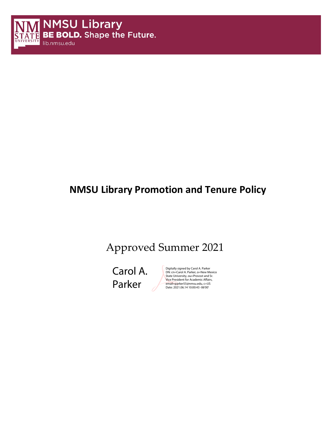

# **NMSU Library Promotion and Tenure Policy**

# Approved Summer 2021

Carol A. Parker

Digitally signed by Carol A. Parker DN: cn=Carol A. Parker, o=New Mexico State University, ou=Provost and Sr. Vice President for Academic Affairs, email=parker55@nmsu.edu, c=US Date: 2021.06.14 10:00:43 -06'00'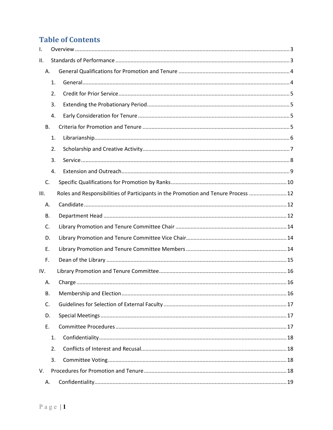## **Table of Contents**

| Ι.        |    |                                                                                    |  |  |  |
|-----------|----|------------------------------------------------------------------------------------|--|--|--|
| ΙΙ.       |    |                                                                                    |  |  |  |
| Α.        |    |                                                                                    |  |  |  |
|           | 1. |                                                                                    |  |  |  |
|           | 2. |                                                                                    |  |  |  |
|           | 3. |                                                                                    |  |  |  |
|           | 4. |                                                                                    |  |  |  |
| <b>B.</b> |    |                                                                                    |  |  |  |
|           | 1. |                                                                                    |  |  |  |
|           | 2. |                                                                                    |  |  |  |
|           | 3. |                                                                                    |  |  |  |
|           | 4. |                                                                                    |  |  |  |
| C.        |    |                                                                                    |  |  |  |
| III.      |    | Roles and Responsibilities of Participants in the Promotion and Tenure Process  12 |  |  |  |
| Α.        |    |                                                                                    |  |  |  |
| В.        |    |                                                                                    |  |  |  |
| C.        |    |                                                                                    |  |  |  |
| D.        |    |                                                                                    |  |  |  |
| Ε.        |    |                                                                                    |  |  |  |
| F.        |    |                                                                                    |  |  |  |
| IV.       |    |                                                                                    |  |  |  |
| А.        |    |                                                                                    |  |  |  |
| В.        |    |                                                                                    |  |  |  |
| C.        |    |                                                                                    |  |  |  |
| D.        |    |                                                                                    |  |  |  |
| E.        |    |                                                                                    |  |  |  |
|           | 1. |                                                                                    |  |  |  |
|           | 2. |                                                                                    |  |  |  |
|           | 3. |                                                                                    |  |  |  |
| V.        |    |                                                                                    |  |  |  |
| А.        |    |                                                                                    |  |  |  |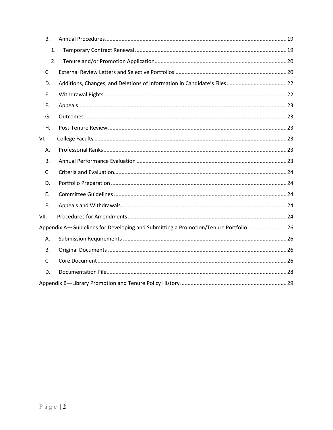| <b>B.</b> |                                                                                    |  |
|-----------|------------------------------------------------------------------------------------|--|
| 1.        |                                                                                    |  |
| 2.        |                                                                                    |  |
| C.        |                                                                                    |  |
| D.        |                                                                                    |  |
| Ε.        |                                                                                    |  |
| F.        |                                                                                    |  |
| G.        |                                                                                    |  |
| Η.        |                                                                                    |  |
| VI.       |                                                                                    |  |
| А.        |                                                                                    |  |
| В.        |                                                                                    |  |
| C.        |                                                                                    |  |
| D.        |                                                                                    |  |
| E.        |                                                                                    |  |
| F.        |                                                                                    |  |
| VII.      |                                                                                    |  |
|           | Appendix A—Guidelines for Developing and Submitting a Promotion/Tenure Portfolio26 |  |
| Α.        |                                                                                    |  |
| В.        |                                                                                    |  |
| C.        |                                                                                    |  |
| D.        |                                                                                    |  |
|           |                                                                                    |  |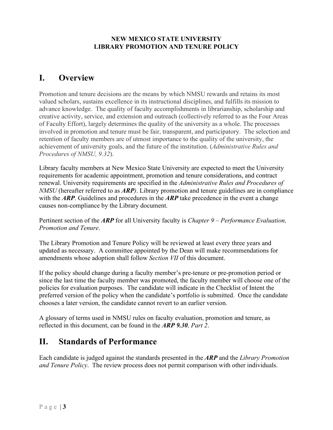#### **NEW MEXICO STATE UNIVERSITY LIBRARY PROMOTION AND TENURE POLICY**

## <span id="page-3-0"></span>**I. Overview**

Promotion and tenure decisions are the means by which NMSU rewards and retains its most valued scholars, sustains excellence in its instructional disciplines, and fulfills its mission to advance knowledge. The quality of faculty accomplishments in librarianship, scholarship and creative activity, service, and extension and outreach (collectively referred to as the Four Areas of Faculty Effort), largely determines the quality of the university as a whole. The processes involved in promotion and tenure must be fair, transparent, and participatory. The selection and retention of faculty members are of utmost importance to the quality of the university, the achievement of university goals, and the future of the institution. (*Administrative Rules and Procedures of NMSU, 9.32*).

Library faculty members at New Mexico State University are expected to meet the University requirements for academic appointment, promotion and tenure considerations, and contract renewal. University requirements are specified in the *Administrative Rules and Procedures of NMSU* (hereafter referred to as *ARP)*. Library promotion and tenure guidelines are in compliance with the *ARP*. Guidelines and procedures in the *ARP* take precedence in the event a change causes non-compliance by the Library document.

Pertinent section of the *ARP* for all University faculty is *Chapter 9 – Performance Evaluation, Promotion and Tenure*.

The Library Promotion and Tenure Policy will be reviewed at least every three years and updated as necessary. A committee appointed by the Dean will make recommendations for amendments whose adoption shall follow *Section VII* of this document.

If the policy should change during a faculty member's pre-tenure or pre-promotion period or since the last time the faculty member was promoted, the faculty member will choose one of the policies for evaluation purposes. The candidate will indicate in the Checklist of Intent the preferred version of the policy when the candidate's portfolio is submitted. Once the candidate chooses a later version, the candidate cannot revert to an earlier version.

A glossary of terms used in NMSU rules on faculty evaluation, promotion and tenure, as reflected in this document, can be found in the *ARP 9.30, Part 2*.

## <span id="page-3-1"></span>**II. Standards of Performance**

Each candidate is judged against the standards presented in the *ARP* and the *Library Promotion and Tenure Policy*. The review process does not permit comparison with other individuals.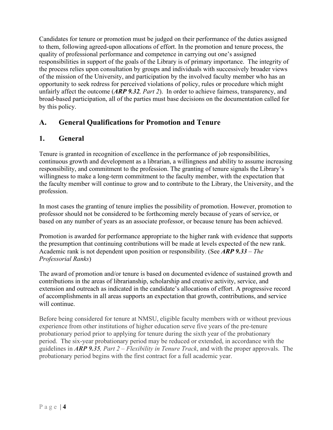Candidates for tenure or promotion must be judged on their performance of the duties assigned to them, following agreed-upon allocations of effort. In the promotion and tenure process, the quality of professional performance and competence in carrying out one's assigned responsibilities in support of the goals of the Library is of primary importance. The integrity of the process relies upon consultation by groups and individuals with successively broader views of the mission of the University, and participation by the involved faculty member who has an opportunity to seek redress for perceived violations of policy, rules or procedure which might unfairly affect the outcome (*ARP 9.32, Part 2*). In order to achieve fairness, transparency, and broad-based participation, all of the parties must base decisions on the documentation called for by this policy.

## <span id="page-4-0"></span>**A. General Qualifications for Promotion and Tenure**

#### <span id="page-4-1"></span>**1. General**

Tenure is granted in recognition of excellence in the performance of job responsibilities, continuous growth and development as a librarian, a willingness and ability to assume increasing responsibility, and commitment to the profession. The granting of tenure signals the Library's willingness to make a long-term commitment to the faculty member, with the expectation that the faculty member will continue to grow and to contribute to the Library, the University, and the profession.

In most cases the granting of tenure implies the possibility of promotion. However, promotion to professor should not be considered to be forthcoming merely because of years of service, or based on any number of years as an associate professor, or because tenure has been achieved.

Promotion is awarded for performance appropriate to the higher rank with evidence that supports the presumption that continuing contributions will be made at levels expected of the new rank. Academic rank is not dependent upon position or responsibility. (See *ARP 9.33 – The Professorial Ranks*)

The award of promotion and/or tenure is based on documented evidence of sustained growth and contributions in the areas of librarianship, scholarship and creative activity, service, and extension and outreach as indicated in the candidate's allocations of effort. A progressive record of accomplishments in all areas supports an expectation that growth, contributions, and service will continue.

Before being considered for tenure at NMSU, eligible faculty members with or without previous experience from other institutions of higher education serve five years of the pre-tenure probationary period prior to applying for tenure during the sixth year of the probationary period. The six-year probationary period may be reduced or extended, in accordance with the guidelines in *ARP 9.35, Part 2 – Flexibility in Tenure Track*, and with the proper approvals. The probationary period begins with the first contract for a full academic year.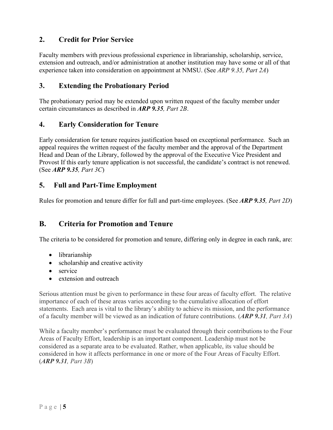#### <span id="page-5-0"></span>**2. Credit for Prior Service**

Faculty members with previous professional experience in librarianship, scholarship, service, extension and outreach, and/or administration at another institution may have some or all of that experience taken into consideration on appointment at NMSU. (See *ARP 9.35, Part 2A*)

#### <span id="page-5-1"></span>**3. Extending the Probationary Period**

The probationary period may be extended upon written request of the faculty member under certain circumstances as described in *ARP 9.35, Part 2B*.

#### <span id="page-5-2"></span>**4. Early Consideration for Tenure**

Early consideration for tenure requires justification based on exceptional performance. Such an appeal requires the written request of the faculty member and the approval of the Department Head and Dean of the Library, followed by the approval of the Executive Vice President and Provost If this early tenure application is not successful, the candidate's contract is not renewed. (See *ARP 9.35, Part 3C*)

#### **5. Full and Part-Time Employment**

Rules for promotion and tenure differ for full and part-time employees. (See *ARP 9.35, Part 2D*)

#### <span id="page-5-3"></span>**B. Criteria for Promotion and Tenure**

The criteria to be considered for promotion and tenure, differing only in degree in each rank, are:

- librarianship
- scholarship and creative activity
- service
- extension and outreach

Serious attention must be given to performance in these four areas of faculty effort. The relative importance of each of these areas varies according to the cumulative allocation of effort statements. Each area is vital to the library's ability to achieve its mission, and the performance of a faculty member will be viewed as an indication of future contributions. (*ARP 9.31, Part 3A*)

While a faculty member's performance must be evaluated through their contributions to the Four Areas of Faculty Effort, leadership is an important component. Leadership must not be considered as a separate area to be evaluated. Rather, when applicable, its value should be considered in how it affects performance in one or more of the Four Areas of Faculty Effort. (*ARP 9.31, Part 3B*)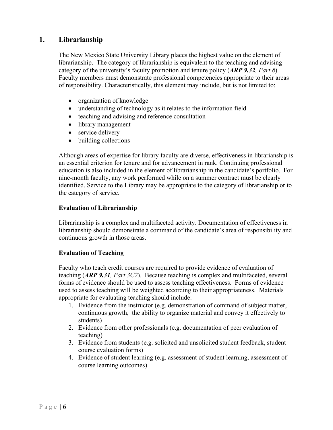#### <span id="page-6-0"></span>**1. Librarianship**

The New Mexico State University Library places the highest value on the element of librarianship. The category of librarianship is equivalent to the teaching and advising category of the university's faculty promotion and tenure policy (*ARP 9.32, Part 8*). Faculty members must demonstrate professional competencies appropriate to their areas of responsibility. Characteristically, this element may include, but is not limited to:

- organization of knowledge
- understanding of technology as it relates to the information field
- teaching and advising and reference consultation
- library management
- service delivery
- building collections

Although areas of expertise for library faculty are diverse, effectiveness in librarianship is an essential criterion for tenure and for advancement in rank. Continuing professional education is also included in the element of librarianship in the candidate's portfolio. For nine-month faculty, any work performed while on a summer contract must be clearly identified. Service to the Library may be appropriate to the category of librarianship or to the category of service.

#### **Evaluation of Librarianship**

Librarianship is a complex and multifaceted activity. Documentation of effectiveness in librarianship should demonstrate a command of the candidate's area of responsibility and continuous growth in those areas.

#### **Evaluation of Teaching**

Faculty who teach credit courses are required to provide evidence of evaluation of teaching (*ARP 9.31, Part 3C2*). Because teaching is complex and multifaceted, several forms of evidence should be used to assess teaching effectiveness. Forms of evidence used to assess teaching will be weighted according to their appropriateness. Materials appropriate for evaluating teaching should include:

- 1. Evidence from the instructor (e.g. demonstration of command of subject matter, continuous growth, the ability to organize material and convey it effectively to students)
- 2. Evidence from other professionals (e.g. documentation of peer evaluation of teaching)
- 3. Evidence from students (e.g. solicited and unsolicited student feedback, student course evaluation forms)
- 4. Evidence of student learning (e.g. assessment of student learning, assessment of course learning outcomes)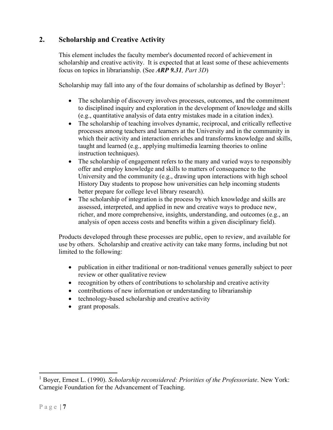#### <span id="page-7-0"></span>**2. Scholarship and Creative Activity**

This element includes the faculty member's documented record of achievement in scholarship and creative activity. It is expected that at least some of these achievements focus on topics in librarianship. (See *ARP 9.31, Part 3D*)

Scholarship may fall into any of the four domains of scholarship as defined by Boyer<sup>[1](#page-7-1)</sup>:

- The scholarship of discovery involves processes, outcomes, and the commitment to disciplined inquiry and exploration in the development of knowledge and skills (e.g., quantitative analysis of data entry mistakes made in a citation index).
- The scholarship of teaching involves dynamic, reciprocal, and critically reflective processes among teachers and learners at the University and in the community in which their activity and interaction enriches and transforms knowledge and skills, taught and learned (e.g., applying multimedia learning theories to online instruction techniques).
- The scholarship of engagement refers to the many and varied ways to responsibly offer and employ knowledge and skills to matters of consequence to the University and the community (e.g., drawing upon interactions with high school History Day students to propose how universities can help incoming students better prepare for college level library research).
- The scholarship of integration is the process by which knowledge and skills are assessed, interpreted, and applied in new and creative ways to produce new, richer, and more comprehensive, insights, understanding, and outcomes (e.g., an analysis of open access costs and benefits within a given disciplinary field).

Products developed through these processes are public, open to review, and available for use by others. Scholarship and creative activity can take many forms, including but not limited to the following:

- publication in either traditional or non-traditional venues generally subject to peer review or other qualitative review
- recognition by others of contributions to scholarship and creative activity
- contributions of new information or understanding to librarianship
- technology-based scholarship and creative activity
- grant proposals.

<span id="page-7-1"></span><sup>1</sup> Boyer, Ernest L. (1990). *Scholarship reconsidered: Priorities of the Professoriate*. New York: Carnegie Foundation for the Advancement of Teaching.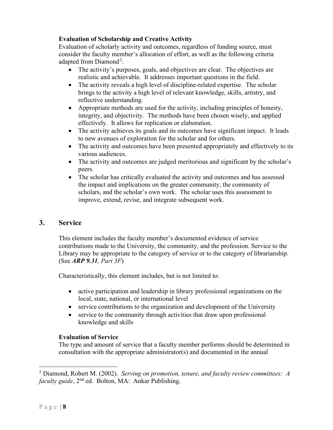#### **Evaluation of Scholarship and Creative Activity**

Evaluation of scholarly activity and outcomes, regardless of funding source, must consider the faculty member's allocation of effort, as well as the following criteria adapted from Diamond<sup>[2](#page-8-1)</sup>:

- The activity's purposes, goals, and objectives are clear. The objectives are realistic and achievable. It addresses important questions in the field.
- The activity reveals a high level of discipline-related expertise. The scholar brings to the activity a high level of relevant knowledge, skills, artistry, and reflective understanding.
- Appropriate methods are used for the activity, including principles of honesty, integrity, and objectivity. The methods have been chosen wisely, and applied effectively. It allows for replication or elaboration.
- The activity achieves its goals and its outcomes have significant impact. It leads to new avenues of exploration for the scholar and for others.
- The activity and outcomes have been presented appropriately and effectively to its various audiences.
- The activity and outcomes are judged meritorious and significant by the scholar's peers.
- The scholar has critically evaluated the activity and outcomes and has assessed the impact and implications on the greater community, the community of scholars, and the scholar's own work. The scholar uses this assessment to improve, extend, revise, and integrate subsequent work.

#### <span id="page-8-0"></span>**3. Service**

This element includes the faculty member's documented evidence of service contributions made to the University, the community, and the profession. Service to the Library may be appropriate to the category of service or to the category of librarianship. (See *ARP 9.31, Part 3F*)

Characteristically, this element includes, but is not limited to:

- active participation and leadership in library professional organizations on the local, state, national, or international level
- service contributions to the organization and development of the University
- service to the community through activities that draw upon professional knowledge and skills

#### **Evaluation of Service**

The type and amount of service that a faculty member performs should be determined in consultation with the appropriate administrator(s) and documented in the annual

<span id="page-8-1"></span><sup>2</sup> Diamond, Robert M. (2002). *Serving on promotion, tenure, and faculty review committees: A faculty guide*, 2nd ed. Bolton, MA: Ankar Publishing.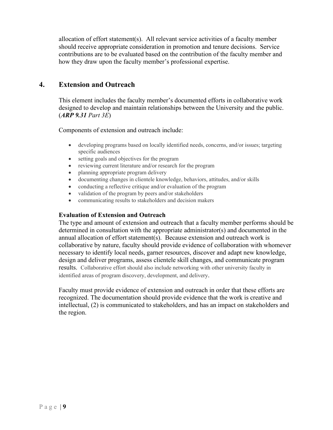allocation of effort statement(s). All relevant service activities of a faculty member should receive appropriate consideration in promotion and tenure decisions. Service contributions are to be evaluated based on the contribution of the faculty member and how they draw upon the faculty member's professional expertise.

#### <span id="page-9-0"></span>**4. Extension and Outreach**

This element includes the faculty member's documented efforts in collaborative work designed to develop and maintain relationships between the University and the public. (*ARP 9.31 Part 3E*)

Components of extension and outreach include:

- developing programs based on locally identified needs, concerns, and/or issues; targeting specific audiences
- setting goals and objectives for the program
- reviewing current literature and/or research for the program
- planning appropriate program delivery
- documenting changes in clientele knowledge, behaviors, attitudes, and/or skills
- conducting a reflective critique and/or evaluation of the program
- validation of the program by peers and/or stakeholders
- communicating results to stakeholders and decision makers

#### **Evaluation of Extension and Outreach**

The type and amount of extension and outreach that a faculty member performs should be determined in consultation with the appropriate administrator(s) and documented in the annual allocation of effort statement(s). Because extension and outreach work is collaborative by nature, faculty should provide evidence of collaboration with whomever necessary to identify local needs, garner resources, discover and adapt new knowledge, design and deliver programs, assess clientele skill changes, and communicate program results. Collaborative effort should also include networking with other university faculty in identified areas of program discovery, development, and delivery.

Faculty must provide evidence of extension and outreach in order that these efforts are recognized. The documentation should provide evidence that the work is creative and intellectual, (2) is communicated to stakeholders, and has an impact on stakeholders and the region.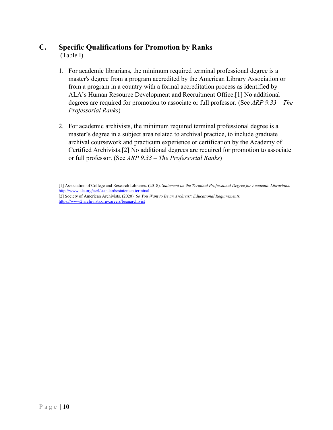## <span id="page-10-0"></span>**C. Specific Qualifications for Promotion by Ranks**

(Table I)

- 1. For academic librarians, the minimum required terminal professional degree is a master's degree from a program accredited by the American Library Association or from a program in a country with a formal accreditation process as identified by ALA's Human Resource Development and Recruitment Office.[1] No additional degrees are required for promotion to associate or full professor. (See *ARP 9.33 – The Professorial Ranks*)
- 2. For academic archivists, the minimum required terminal professional degree is a master's degree in a subject area related to archival practice, to include graduate archival coursework and practicum experience or certification by the Academy of Certified Archivists.[2] No additional degrees are required for promotion to associate or full professor. (See *ARP 9.33 – The Professorial Ranks*)

<sup>[1]</sup> Association of College and Research Libraries. (2018). *Statement on the Terminal Professional Degree for Academic Librarians*. [http://www.ala.org/acrl/standards/statementterminal](https://nam10.safelinks.protection.outlook.com/?url=http%3A%2F%2Fwww.ala.org%2Facrl%2Fstandards%2Fstatementterminal&data=04%7C01%7Ckterpis%40nmsu.edu%7C1416bb8c7835434094b408d8a1500e09%7Ca3ec87a89fb84158ba8ff11bace1ebaa%7C1%7C0%7C637436712507316003%7CUnknown%7CTWFpbGZsb3d8eyJWIjoiMC4wLjAwMDAiLCJQIjoiV2luMzIiLCJBTiI6Ik1haWwiLCJXVCI6Mn0%3D%7C1000&sdata=X9E0eZSCw22aOMrY1Dq1GPlBWmi3V9%2Ftl%2BDDCOD1e1s%3D&reserved=0) [2] Society of American Archivists. (2020). *So You Want to Be an Archivist: Educational Requirements.*  [https://www2.archivists.org/careers/beanarchivist](https://nam10.safelinks.protection.outlook.com/?url=https%3A%2F%2Fwww2.archivists.org%2Fcareers%2Fbeanarchivist&data=04%7C01%7Ckterpis%40nmsu.edu%7C1416bb8c7835434094b408d8a1500e09%7Ca3ec87a89fb84158ba8ff11bace1ebaa%7C1%7C0%7C637436712507316003%7CUnknown%7CTWFpbGZsb3d8eyJWIjoiMC4wLjAwMDAiLCJQIjoiV2luMzIiLCJBTiI6Ik1haWwiLCJXVCI6Mn0%3D%7C1000&sdata=IIz9SNu%2B%2Fql%2FpHLnOYKhOSpNFNXceIF4pKF%2FE4PMl84%3D&reserved=0)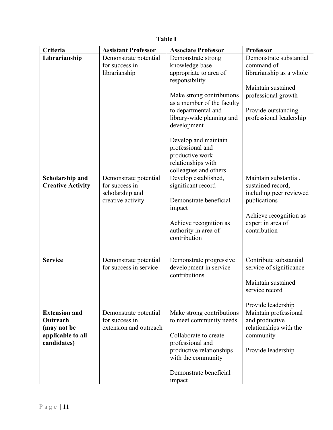| Criteria                                                                            | <b>Assistant Professor</b>                                                      | <b>Associate Professor</b>                                                                                                                                                                                                                                                    | Professor                                                                                                                                                        |
|-------------------------------------------------------------------------------------|---------------------------------------------------------------------------------|-------------------------------------------------------------------------------------------------------------------------------------------------------------------------------------------------------------------------------------------------------------------------------|------------------------------------------------------------------------------------------------------------------------------------------------------------------|
| Librarianship                                                                       | Demonstrate potential<br>for success in<br>librarianship                        | Demonstrate strong<br>knowledge base<br>appropriate to area of<br>responsibility<br>Make strong contributions<br>as a member of the faculty<br>to departmental and<br>library-wide planning and<br>development<br>Develop and maintain<br>professional and<br>productive work | Demonstrate substantial<br>command of<br>librarianship as a whole<br>Maintain sustained<br>professional growth<br>Provide outstanding<br>professional leadership |
|                                                                                     |                                                                                 | relationships with<br>colleagues and others                                                                                                                                                                                                                                   |                                                                                                                                                                  |
| <b>Scholarship and</b><br><b>Creative Activity</b>                                  | Demonstrate potential<br>for success in<br>scholarship and<br>creative activity | Develop established,<br>significant record<br>Demonstrate beneficial<br>impact<br>Achieve recognition as<br>authority in area of<br>contribution                                                                                                                              | Maintain substantial,<br>sustained record,<br>including peer reviewed<br>publications<br>Achieve recognition as<br>expert in area of<br>contribution             |
| <b>Service</b>                                                                      | Demonstrate potential<br>for success in service                                 | Demonstrate progressive<br>development in service<br>contributions                                                                                                                                                                                                            | Contribute substantial<br>service of significance<br>Maintain sustained<br>service record<br>Provide leadership                                                  |
| <b>Extension and</b><br>Outreach<br>(may not be<br>applicable to all<br>candidates) | Demonstrate potential<br>for success in<br>extension and outreach               | Make strong contributions<br>to meet community needs<br>Collaborate to create<br>professional and<br>productive relationships<br>with the community<br>Demonstrate beneficial<br>impact                                                                                       | Maintain professional<br>and productive<br>relationships with the<br>community<br>Provide leadership                                                             |

## **Table I**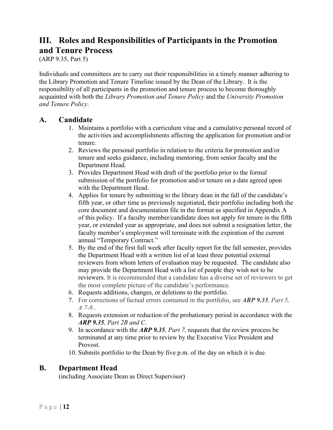## <span id="page-12-0"></span>**III. Roles and Responsibilities of Participants in the Promotion and Tenure Process**

(ARP 9.35, Part 5)

Individuals and committees are to carry out their responsibilities in a timely manner adhering to the Library Promotion and Tenure Timeline issued by the Dean of the Library. It is the responsibility of all participants in the promotion and tenure process to become thoroughly acquainted with both the *Library Promotion and Tenure Policy* and the *University Promotion and Tenure Policy*.

#### <span id="page-12-1"></span>**A. Candidate**

- 1. Maintains a portfolio with a curriculum vitae and a cumulative personal record of the activities and accomplishments affecting the application for promotion and/or tenure.
- 2. Reviews the personal portfolio in relation to the criteria for promotion and/or tenure and seeks guidance, including mentoring, from senior faculty and the Department Head.
- 3. Provides Department Head with draft of the portfolio prior to the formal submission of the portfolio for promotion and/or tenure on a date agreed upon with the Department Head.
- 4. Applies for tenure by submitting to the library dean in the fall of the candidate's fifth year, or other time as previously negotiated, their portfolio including both the core document and documentation file in the format as specified in Appendix A of this policy. If a faculty member/candidate does not apply for tenure in the fifth year, or extended year as appropriate, and does not submit a resignation letter, the faculty member's employment will terminate with the expiration of the current annual "Temporary Contract."
- 5. By the end of the first full week after faculty report for the fall semester, provides the Department Head with a written list of at least three potential external reviewers from whom letters of evaluation may be requested. The candidate also may provide the Department Head with a list of people they wish not to be reviewers. It is recommended that a candidate has a diverse set of reviewers to get the most complete picture of the candidate's performance.
- 6. Requests additions, changes, or deletions to the portfolio.
- 7. For corrections of factual errors contained in the portfolio, see *ARP 9.35, Part 5, A 7-8.*.
- 8. Requests extension or reduction of the probationary period in accordance with the *ARP 9.35, Part 2B and C*.
- 9. In accordance with the *ARP 9.35, Part 7,* requests that the review process be terminated at any time prior to review by the Executive Vice President and Provost.
- 10. Submits portfolio to the Dean by five p.m. of the day on which it is due.

#### <span id="page-12-2"></span>**B. Department Head**

(including Associate Dean as Direct Supervisor)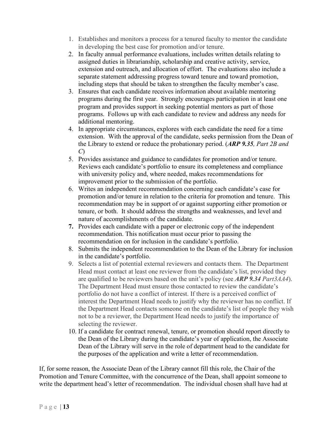- 1. Establishes and monitors a process for a tenured faculty to mentor the candidate in developing the best case for promotion and/or tenure.
- 2. In faculty annual performance evaluations, includes written details relating to assigned duties in librarianship, scholarship and creative activity, service, extension and outreach, and allocation of effort. The evaluations also include a separate statement addressing progress toward tenure and toward promotion, including steps that should be taken to strengthen the faculty member's case.
- 3. Ensures that each candidate receives information about available mentoring programs during the first year. Strongly encourages participation in at least one program and provides support in seeking potential mentors as part of those programs. Follows up with each candidate to review and address any needs for additional mentoring.
- 4. In appropriate circumstances, explores with each candidate the need for a time extension. With the approval of the candidate, seeks permission from the Dean of the Library to extend or reduce the probationary period. (*ARP 9.35, Part 2B and C*)
- 5. Provides assistance and guidance to candidates for promotion and/or tenure. Reviews each candidate's portfolio to ensure its completeness and compliance with university policy and, where needed, makes recommendations for improvement prior to the submission of the portfolio.
- 6. Writes an independent recommendation concerning each candidate's case for promotion and/or tenure in relation to the criteria for promotion and tenure. This recommendation may be in support of or against supporting either promotion or tenure, or both. It should address the strengths and weaknesses, and level and nature of accomplishments of the candidate.
- **7.** Provides each candidate with a paper or electronic copy of the independent recommendation. This notification must occur prior to passing the recommendation on for inclusion in the candidate's portfolio.
- 8. Submits the independent recommendation to the Dean of the Library for inclusion in the candidate's portfolio.
- 9. Selects a list of potential external reviewers and contacts them. The Department Head must contact at least one reviewer from the candidate's list, provided they are qualified to be reviewers based on the unit's policy (see *ARP 9.34 Part3AA4*). The Department Head must ensure those contacted to review the candidate's portfolio do not have a conflict of interest. If there is a perceived conflict of interest the Department Head needs to justify why the reviewer has no conflict. If the Department Head contacts someone on the candidate's list of people they wish not to be a reviewer, the Department Head needs to justify the importance of selecting the reviewer.
- 10. If a candidate for contract renewal, tenure, or promotion should report directly to the Dean of the Library during the candidate's year of application, the Associate Dean of the Library will serve in the role of department head to the candidate for the purposes of the application and write a letter of recommendation.

If, for some reason, the Associate Dean of the Library cannot fill this role, the Chair of the Promotion and Tenure Committee, with the concurrence of the Dean, shall appoint someone to write the department head's letter of recommendation. The individual chosen shall have had at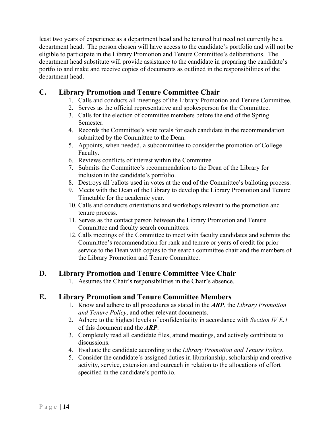least two years of experience as a department head and be tenured but need not currently be a department head. The person chosen will have access to the candidate's portfolio and will not be eligible to participate in the Library Promotion and Tenure Committee's deliberations. The department head substitute will provide assistance to the candidate in preparing the candidate's portfolio and make and receive copies of documents as outlined in the responsibilities of the department head.

#### <span id="page-14-0"></span>**C. Library Promotion and Tenure Committee Chair**

- 1. Calls and conducts all meetings of the Library Promotion and Tenure Committee.
- 2. Serves as the official representative and spokesperson for the Committee.
- 3. Calls for the election of committee members before the end of the Spring Semester.
- 4. Records the Committee's vote totals for each candidate in the recommendation submitted by the Committee to the Dean.
- 5. Appoints, when needed, a subcommittee to consider the promotion of College Faculty.
- 6. Reviews conflicts of interest within the Committee.
- 7. Submits the Committee's recommendation to the Dean of the Library for inclusion in the candidate's portfolio.
- 8. Destroys all ballots used in votes at the end of the Committee's balloting process.
- 9. Meets with the Dean of the Library to develop the Library Promotion and Tenure Timetable for the academic year.
- 10. Calls and conducts orientations and workshops relevant to the promotion and tenure process.
- 11. Serves as the contact person between the Library Promotion and Tenure Committee and faculty search committees.
- 12. Calls meetings of the Committee to meet with faculty candidates and submits the Committee's recommendation for rank and tenure or years of credit for prior service to the Dean with copies to the search committee chair and the members of the Library Promotion and Tenure Committee.

#### <span id="page-14-1"></span>**D. Library Promotion and Tenure Committee Vice Chair**

1. Assumes the Chair's responsibilities in the Chair's absence.

#### <span id="page-14-2"></span>**E. Library Promotion and Tenure Committee Members**

- 1. Know and adhere to all procedures as stated in the *ARP*, the *Library Promotion and Tenure Policy*, and other relevant documents.
- 2. Adhere to the highest levels of confidentiality in accordance with *Section IV E.1* of this document and the *ARP*.
- 3. Completely read all candidate files, attend meetings, and actively contribute to discussions.
- 4. Evaluate the candidate according to the *Library Promotion and Tenure Policy*.
- 5. Consider the candidate's assigned duties in librarianship, scholarship and creative activity, service, extension and outreach in relation to the allocations of effort specified in the candidate's portfolio.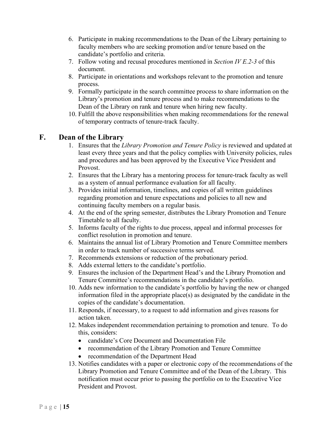- 6. Participate in making recommendations to the Dean of the Library pertaining to faculty members who are seeking promotion and/or tenure based on the candidate's portfolio and criteria.
- 7. Follow voting and recusal procedures mentioned in *Section IV E.2-3* of this document.
- 8. Participate in orientations and workshops relevant to the promotion and tenure process.
- 9. Formally participate in the search committee process to share information on the Library's promotion and tenure process and to make recommendations to the Dean of the Library on rank and tenure when hiring new faculty.
- 10. Fulfill the above responsibilities when making recommendations for the renewal of temporary contracts of tenure-track faculty.

#### <span id="page-15-0"></span>**F. Dean of the Library**

- 1. Ensures that the *Library Promotion and Tenure Policy* is reviewed and updated at least every three years and that the policy complies with University policies, rules and procedures and has been approved by the Executive Vice President and Provost.
- 2. Ensures that the Library has a mentoring process for tenure-track faculty as well as a system of annual performance evaluation for all faculty.
- 3. Provides initial information, timelines, and copies of all written guidelines regarding promotion and tenure expectations and policies to all new and continuing faculty members on a regular basis.
- 4. At the end of the spring semester, distributes the Library Promotion and Tenure Timetable to all faculty.
- 5. Informs faculty of the rights to due process, appeal and informal processes for conflict resolution in promotion and tenure.
- 6. Maintains the annual list of Library Promotion and Tenure Committee members in order to track number of successive terms served.
- 7. Recommends extensions or reduction of the probationary period.
- 8. Adds external letters to the candidate's portfolio.
- 9. Ensures the inclusion of the Department Head's and the Library Promotion and Tenure Committee's recommendations in the candidate's portfolio.
- 10. Adds new information to the candidate's portfolio by having the new or changed information filed in the appropriate place(s) as designated by the candidate in the copies of the candidate's documentation.
- 11. Responds, if necessary, to a request to add information and gives reasons for action taken.
- 12. Makes independent recommendation pertaining to promotion and tenure. To do this, considers:
	- candidate's Core Document and Documentation File
	- recommendation of the Library Promotion and Tenure Committee
	- recommendation of the Department Head
- 13. Notifies candidates with a paper or electronic copy of the recommendations of the Library Promotion and Tenure Committee and of the Dean of the Library. This notification must occur prior to passing the portfolio on to the Executive Vice President and Provost.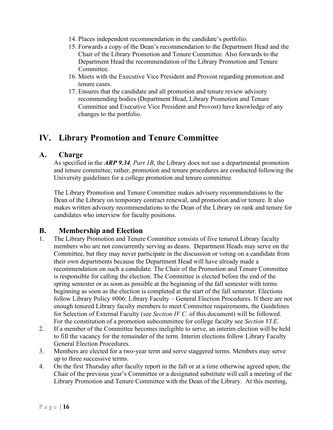- 14. Places independent recommendation in the candidate's portfolio.
- 15. Forwards a copy of the Dean's recommendation to the Department Head and the Chair of the Library Promotion and Tenure Committee. Also forwards to the Department Head the recommendation of the Library Promotion and Tenure Committee.
- 16. Meets with the Executive Vice President and Provost regarding promotion and tenure cases.
- 17. Ensures that the candidate and all promotion and tenure review advisory recommending bodies (Department Head, Library Promotion and Tenure Committee and Executive Vice President and Provost) have knowledge of any changes to the portfolio.

## <span id="page-16-0"></span>**IV. Library Promotion and Tenure Committee**

#### <span id="page-16-1"></span>**A. Charge**

As specified in the *ARP 9.34, Part 1B*, the Library does not use a departmental promotion and tenure committee; rather, promotion and tenure procedures are conducted following the University guidelines for a college promotion and tenure committee.

The Library Promotion and Tenure Committee makes advisory recommendations to the Dean of the Library on temporary contract renewal, and promotion and/or tenure. It also makes written advisory recommendations to the Dean of the Library on rank and tenure for candidates who interview for faculty positions.

#### <span id="page-16-2"></span>**B. Membership and Election**

- 1. The Library Promotion and Tenure Committee consists of five tenured Library faculty members who are not concurrently serving as deans. Department Heads may serve on the Committee, but they may never participate in the discussion or voting on a candidate from their own departments because the Department Head will have already made a recommendation on such a candidate. The Chair of the Promotion and Tenure Committee is responsible for calling the election. The Committee is elected before the end of the spring semester or as soon as possible at the beginning of the fall semester with terms beginning as soon as the election is completed at the start of the fall semester. Elections follow Library Policy #006: Library Faculty – General Election Procedures. If there are not enough tenured Library faculty members to meet Committee requirements, the Guidelines for Selection of External Faculty (see *Section IV C.* of this document) will be followed. For the constitution of a promotion subcommittee for college faculty see *Section VI.E*.
- 2. If a member of the Committee becomes ineligible to serve, an interim election will be held to fill the vacancy for the remainder of the term. Interim elections follow Library Faculty General Election Procedures.
- 3. Members are elected for a two-year term and serve staggered terms. Members may serve up to three successive terms.
- 4. On the first Thursday after faculty report in the fall or at a time otherwise agreed upon, the Chair of the previous year's Committee or a designated substitute will call a meeting of the Library Promotion and Tenure Committee with the Dean of the Library. At this meeting,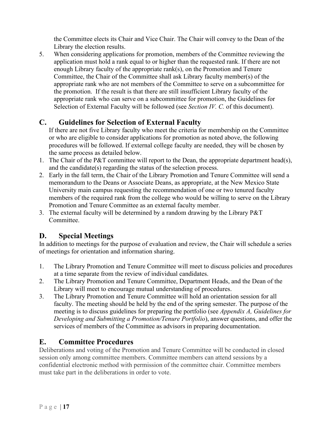the Committee elects its Chair and Vice Chair. The Chair will convey to the Dean of the Library the election results.

5. When considering applications for promotion, members of the Committee reviewing the application must hold a rank equal to or higher than the requested rank. If there are not enough Library faculty of the appropriate rank(s), on the Promotion and Tenure Committee, the Chair of the Committee shall ask Library faculty member(s) of the appropriate rank who are not members of the Committee to serve on a subcommittee for the promotion. If the result is that there are still insufficient Library faculty of the appropriate rank who can serve on a subcommittee for promotion, the Guidelines for Selection of External Faculty will be followed (see *Section IV. C.* of this document).

## <span id="page-17-0"></span>**C. Guidelines for Selection of External Faculty**

If there are not five Library faculty who meet the criteria for membership on the Committee or who are eligible to consider applications for promotion as noted above, the following procedures will be followed. If external college faculty are needed, they will be chosen by the same process as detailed below.

- 1. The Chair of the P&T committee will report to the Dean, the appropriate department head(s), and the candidate(s) regarding the status of the selection process.
- 2. Early in the fall term, the Chair of the Library Promotion and Tenure Committee will send a memorandum to the Deans or Associate Deans, as appropriate, at the New Mexico State University main campus requesting the recommendation of one or two tenured faculty members of the required rank from the college who would be willing to serve on the Library Promotion and Tenure Committee as an external faculty member.
- 3. The external faculty will be determined by a random drawing by the Library P&T Committee.

#### <span id="page-17-1"></span>**D. Special Meetings**

In addition to meetings for the purpose of evaluation and review, the Chair will schedule a series of meetings for orientation and information sharing.

- 1. The Library Promotion and Tenure Committee will meet to discuss policies and procedures at a time separate from the review of individual candidates.
- 2. The Library Promotion and Tenure Committee, Department Heads, and the Dean of the Library will meet to encourage mutual understanding of procedures.
- 3. The Library Promotion and Tenure Committee will hold an orientation session for all faculty. The meeting should be held by the end of the spring semester. The purpose of the meeting is to discuss guidelines for preparing the portfolio (see *Appendix A, Guidelines for Developing and Submitting a Promotion/Tenure Portfolio*), answer questions, and offer the services of members of the Committee as advisors in preparing documentation.

#### <span id="page-17-2"></span>**E. Committee Procedures**

Deliberations and voting of the Promotion and Tenure Committee will be conducted in closed session only among committee members. Committee members can attend sessions by a confidential electronic method with permission of the committee chair. Committee members must take part in the deliberations in order to vote.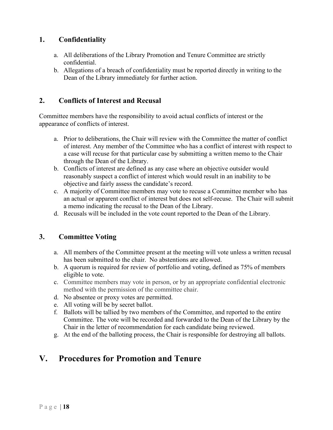#### <span id="page-18-0"></span>**1. Confidentiality**

- a. All deliberations of the Library Promotion and Tenure Committee are strictly confidential.
- b. Allegations of a breach of confidentiality must be reported directly in writing to the Dean of the Library immediately for further action.

#### <span id="page-18-1"></span>**2. Conflicts of Interest and Recusal**

Committee members have the responsibility to avoid actual conflicts of interest or the appearance of conflicts of interest.

- a. Prior to deliberations, the Chair will review with the Committee the matter of conflict of interest. Any member of the Committee who has a conflict of interest with respect to a case will recuse for that particular case by submitting a written memo to the Chair through the Dean of the Library.
- b. Conflicts of interest are defined as any case where an objective outsider would reasonably suspect a conflict of interest which would result in an inability to be objective and fairly assess the candidate's record.
- c. A majority of Committee members may vote to recuse a Committee member who has an actual or apparent conflict of interest but does not self-recuse. The Chair will submit a memo indicating the recusal to the Dean of the Library.
- d. Recusals will be included in the vote count reported to the Dean of the Library.

#### <span id="page-18-2"></span>**3. Committee Voting**

- a. All members of the Committee present at the meeting will vote unless a written recusal has been submitted to the chair. No abstentions are allowed.
- b. A quorum is required for review of portfolio and voting, defined as 75% of members eligible to vote.
- c. Committee members may vote in person, or by an appropriate confidential electronic method with the permission of the committee chair.
- d. No absentee or proxy votes are permitted.
- e. All voting will be by secret ballot.
- f. Ballots will be tallied by two members of the Committee, and reported to the entire Committee. The vote will be recorded and forwarded to the Dean of the Library by the Chair in the letter of recommendation for each candidate being reviewed.
- g. At the end of the balloting process, the Chair is responsible for destroying all ballots.

## <span id="page-18-3"></span>**V. Procedures for Promotion and Tenure**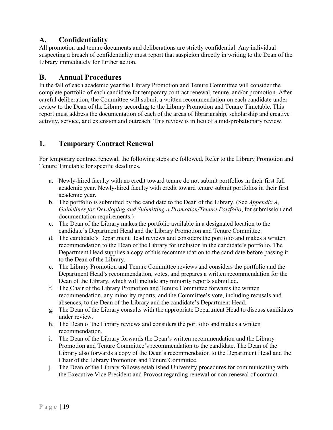#### <span id="page-19-0"></span>**A. Confidentiality**

All promotion and tenure documents and deliberations are strictly confidential. Any individual suspecting a breach of confidentiality must report that suspicion directly in writing to the Dean of the Library immediately for further action.

#### <span id="page-19-1"></span>**B. Annual Procedures**

In the fall of each academic year the Library Promotion and Tenure Committee will consider the complete portfolio of each candidate for temporary contract renewal, tenure, and/or promotion. After careful deliberation, the Committee will submit a written recommendation on each candidate under review to the Dean of the Library according to the Library Promotion and Tenure Timetable. This report must address the documentation of each of the areas of librarianship, scholarship and creative activity, service, and extension and outreach. This review is in lieu of a mid-probationary review.

#### <span id="page-19-2"></span>**1. Temporary Contract Renewal**

For temporary contract renewal, the following steps are followed. Refer to the Library Promotion and Tenure Timetable for specific deadlines.

- a. Newly-hired faculty with no credit toward tenure do not submit portfolios in their first full academic year. Newly-hired faculty with credit toward tenure submit portfolios in their first academic year.
- b. The portfolio is submitted by the candidate to the Dean of the Library. (See *Appendix A, Guidelines for Developing and Submitting a Promotion/Tenure Portfolio*, for submission and documentation requirements.)
- c. The Dean of the Library makes the portfolio available in a designated location to the candidate's Department Head and the Library Promotion and Tenure Committee.
- d. The candidate's Department Head reviews and considers the portfolio and makes a written recommendation to the Dean of the Library for inclusion in the candidate's portfolio, The Department Head supplies a copy of this recommendation to the candidate before passing it to the Dean of the Library.
- e. The Library Promotion and Tenure Committee reviews and considers the portfolio and the Department Head's recommendation, votes, and prepares a written recommendation for the Dean of the Library, which will include any minority reports submitted.
- f. The Chair of the Library Promotion and Tenure Committee forwards the written recommendation, any minority reports, and the Committee's vote, including recusals and absences, to the Dean of the Library and the candidate's Department Head.
- g. The Dean of the Library consults with the appropriate Department Head to discuss candidates under review.
- h. The Dean of the Library reviews and considers the portfolio and makes a written recommendation.
- i. The Dean of the Library forwards the Dean's written recommendation and the Library Promotion and Tenure Committee's recommendation to the candidate. The Dean of the Library also forwards a copy of the Dean's recommendation to the Department Head and the Chair of the Library Promotion and Tenure Committee.
- j. The Dean of the Library follows established University procedures for communicating with the Executive Vice President and Provost regarding renewal or non-renewal of contract.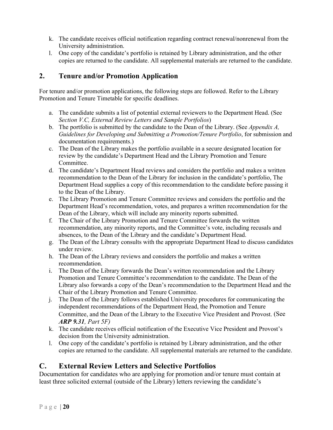- k. The candidate receives official notification regarding contract renewal/nonrenewal from the University administration.
- l. One copy of the candidate's portfolio is retained by Library administration, and the other copies are returned to the candidate. All supplemental materials are returned to the candidate.

#### <span id="page-20-0"></span>**2. Tenure and/or Promotion Application**

For tenure and/or promotion applications, the following steps are followed. Refer to the Library Promotion and Tenure Timetable for specific deadlines.

- a. The candidate submits a list of potential external reviewers to the Department Head. (See *Section V.C, External Review Letters and Sample Portfolios*)
- b. The portfolio is submitted by the candidate to the Dean of the Library. (See *Appendix A, Guidelines for Developing and Submitting a Promotion/Tenure Portfolio*, for submission and documentation requirements.)
- c. The Dean of the Library makes the portfolio available in a secure designated location for review by the candidate's Department Head and the Library Promotion and Tenure Committee.
- d. The candidate's Department Head reviews and considers the portfolio and makes a written recommendation to the Dean of the Library for inclusion in the candidate's portfolio, The Department Head supplies a copy of this recommendation to the candidate before passing it to the Dean of the Library.
- e. The Library Promotion and Tenure Committee reviews and considers the portfolio and the Department Head's recommendation, votes, and prepares a written recommendation for the Dean of the Library, which will include any minority reports submitted.
- f. The Chair of the Library Promotion and Tenure Committee forwards the written recommendation, any minority reports, and the Committee's vote, including recusals and absences, to the Dean of the Library and the candidate's Department Head.
- g. The Dean of the Library consults with the appropriate Department Head to discuss candidates under review.
- h. The Dean of the Library reviews and considers the portfolio and makes a written recommendation.
- i. The Dean of the Library forwards the Dean's written recommendation and the Library Promotion and Tenure Committee's recommendation to the candidate. The Dean of the Library also forwards a copy of the Dean's recommendation to the Department Head and the Chair of the Library Promotion and Tenure Committee.
- j. The Dean of the Library follows established University procedures for communicating the independent recommendations of the Department Head, the Promotion and Tenure Committee, and the Dean of the Library to the Executive Vice President and Provost. (See *ARP 9.31, Part 5F)*
- k. The candidate receives official notification of the Executive Vice President and Provost's decision from the University administration.
- l. One copy of the candidate's portfolio is retained by Library administration, and the other copies are returned to the candidate. All supplemental materials are returned to the candidate.

#### <span id="page-20-1"></span>**C. External Review Letters and Selective Portfolios**

Documentation for candidates who are applying for promotion and/or tenure must contain at least three solicited external (outside of the Library) letters reviewing the candidate's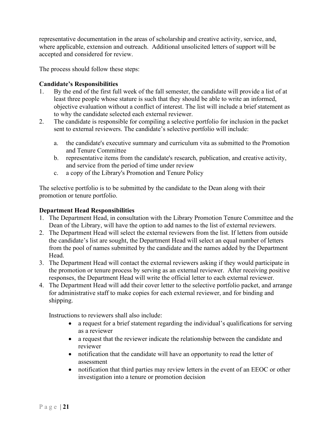representative documentation in the areas of scholarship and creative activity, service, and, where applicable, extension and outreach. Additional unsolicited letters of support will be accepted and considered for review.

The process should follow these steps:

#### **Candidate's Responsibilities**

- 1. By the end of the first full week of the fall semester, the candidate will provide a list of at least three people whose stature is such that they should be able to write an informed, objective evaluation without a conflict of interest. The list will include a brief statement as to why the candidate selected each external reviewer.
- 2. The candidate is responsible for compiling a selective portfolio for inclusion in the packet sent to external reviewers. The candidate's selective portfolio will include:
	- a. the candidate's executive summary and curriculum vita as submitted to the Promotion and Tenure Committee
	- b. representative items from the candidate's research, publication, and creative activity, and service from the period of time under review
	- c. a copy of the Library's Promotion and Tenure Policy

The selective portfolio is to be submitted by the candidate to the Dean along with their promotion or tenure portfolio.

#### **Department Head Responsibilities**

- 1. The Department Head, in consultation with the Library Promotion Tenure Committee and the Dean of the Library, will have the option to add names to the list of external reviewers.
- 2. The Department Head will select the external reviewers from the list. If letters from outside the candidate's list are sought, the Department Head will select an equal number of letters from the pool of names submitted by the candidate and the names added by the Department Head.
- 3. The Department Head will contact the external reviewers asking if they would participate in the promotion or tenure process by serving as an external reviewer. After receiving positive responses, the Department Head will write the official letter to each external reviewer.
- 4. The Department Head will add their cover letter to the selective portfolio packet, and arrange for administrative staff to make copies for each external reviewer, and for binding and shipping.

Instructions to reviewers shall also include:

- a request for a brief statement regarding the individual's qualifications for serving as a reviewer
- a request that the reviewer indicate the relationship between the candidate and reviewer
- notification that the candidate will have an opportunity to read the letter of assessment
- notification that third parties may review letters in the event of an EEOC or other investigation into a tenure or promotion decision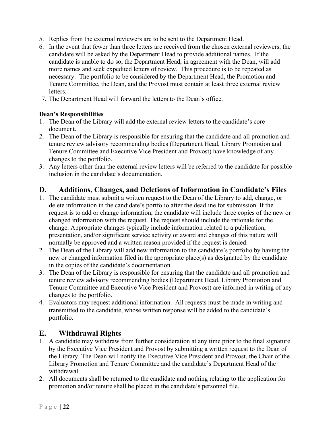- 5. Replies from the external reviewers are to be sent to the Department Head.
- 6. In the event that fewer than three letters are received from the chosen external reviewers, the candidate will be asked by the Department Head to provide additional names. If the candidate is unable to do so, the Department Head, in agreement with the Dean, will add more names and seek expedited letters of review. This procedure is to be repeated as necessary. The portfolio to be considered by the Department Head, the Promotion and Tenure Committee, the Dean, and the Provost must contain at least three external review letters.
- 7. The Department Head will forward the letters to the Dean's office.

#### **Dean's Responsibilities**

- 1. The Dean of the Library will add the external review letters to the candidate's core document.
- 2. The Dean of the Library is responsible for ensuring that the candidate and all promotion and tenure review advisory recommending bodies (Department Head, Library Promotion and Tenure Committee and Executive Vice President and Provost) have knowledge of any changes to the portfolio.
- 3. Any letters other than the external review letters will be referred to the candidate for possible inclusion in the candidate's documentation.

#### <span id="page-22-0"></span>**D. Additions, Changes, and Deletions of Information in Candidate's Files**

- 1. The candidate must submit a written request to the Dean of the Library to add, change, or delete information in the candidate's portfolio after the deadline for submission. If the request is to add or change information, the candidate will include three copies of the new or changed information with the request. The request should include the rationale for the change. Appropriate changes typically include information related to a publication, presentation, and/or significant service activity or award and changes of this nature will normally be approved and a written reason provided if the request is denied.
- 2. The Dean of the Library will add new information to the candidate's portfolio by having the new or changed information filed in the appropriate place(s) as designated by the candidate in the copies of the candidate's documentation.
- 3. The Dean of the Library is responsible for ensuring that the candidate and all promotion and tenure review advisory recommending bodies (Department Head, Library Promotion and Tenure Committee and Executive Vice President and Provost) are informed in writing of any changes to the portfolio.
- 4. Evaluators may request additional information. All requests must be made in writing and transmitted to the candidate, whose written response will be added to the candidate's portfolio.

#### <span id="page-22-1"></span>**E. Withdrawal Rights**

- 1. A candidate may withdraw from further consideration at any time prior to the final signature by the Executive Vice President and Provost by submitting a written request to the Dean of the Library. The Dean will notify the Executive Vice President and Provost, the Chair of the Library Promotion and Tenure Committee and the candidate's Department Head of the withdrawal.
- 2. All documents shall be returned to the candidate and nothing relating to the application for promotion and/or tenure shall be placed in the candidate's personnel file.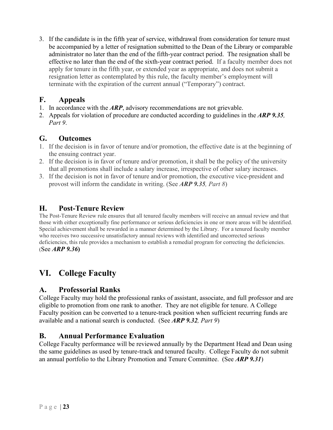3. If the candidate is in the fifth year of service, withdrawal from consideration for tenure must be accompanied by a letter of resignation submitted to the Dean of the Library or comparable administrator no later than the end of the fifth-year contract period. The resignation shall be effective no later than the end of the sixth-year contract period. If a faculty member does not apply for tenure in the fifth year, or extended year as appropriate, and does not submit a resignation letter as contemplated by this rule, the faculty member's employment will terminate with the expiration of the current annual ("Temporary") contract.

#### <span id="page-23-0"></span>**F. Appeals**

- 1. In accordance with the *ARP*, advisory recommendations are not grievable.
- 2. Appeals for violation of procedure are conducted according to guidelines in the *ARP 9.35, Part 9*.

#### <span id="page-23-1"></span>**G. Outcomes**

- 1. If the decision is in favor of tenure and/or promotion, the effective date is at the beginning of the ensuing contract year.
- 2. If the decision is in favor of tenure and/or promotion, it shall be the policy of the university that all promotions shall include a salary increase, irrespective of other salary increases.
- 3. If the decision is not in favor of tenure and/or promotion, the executive vice-president and provost will inform the candidate in writing. (See *ARP 9.35, Part 8*)

#### <span id="page-23-2"></span>**H. Post-Tenure Review**

The Post-Tenure Review rule ensures that all tenured faculty members will receive an annual review and that those with either exceptionally fine performance or serious deficiencies in one or more areas will be identified. Special achievement shall be rewarded in a manner determined by the Library. For a tenured faculty member who receives two successive unsatisfactory annual reviews with identified and uncorrected serious deficiencies, this rule provides a mechanism to establish a remedial program for correcting the deficiencies. (See *ARP 9.36***)**

## <span id="page-23-3"></span>**VI. College Faculty**

#### <span id="page-23-4"></span>**A. Professorial Ranks**

College Faculty may hold the professional ranks of assistant, associate, and full professor and are eligible to promotion from one rank to another. They are not eligible for tenure. A College Faculty position can be converted to a tenure-track position when sufficient recurring funds are available and a national search is conducted. (See *ARP 9.32, Part 9*)

#### <span id="page-23-5"></span>**B. Annual Performance Evaluation**

College Faculty performance will be reviewed annually by the Department Head and Dean using the same guidelines as used by tenure-track and tenured faculty. College Faculty do not submit an annual portfolio to the Library Promotion and Tenure Committee. (See *ARP 9.31*)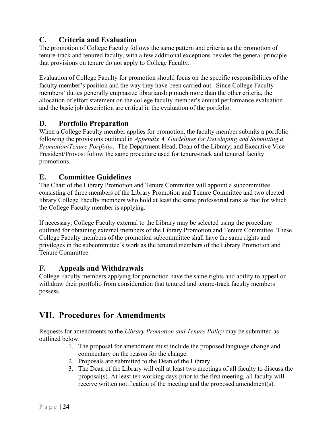## <span id="page-24-0"></span>**C. Criteria and Evaluation**

The promotion of College Faculty follows the same pattern and criteria as the promotion of tenure-track and tenured faculty, with a few additional exceptions besides the general principle that provisions on tenure do not apply to College Faculty.

Evaluation of College Faculty for promotion should focus on the specific responsibilities of the faculty member's position and the way they have been carried out. Since College Faculty members' duties generally emphasize librarianship much more than the other criteria, the allocation of effort statement on the college faculty member's annual performance evaluation and the basic job description are critical in the evaluation of the portfolio.

#### <span id="page-24-1"></span>**D. Portfolio Preparation**

When a College Faculty member applies for promotion, the faculty member submits a portfolio following the provisions outlined in *Appendix A, Guidelines for Developing and Submitting a Promotion/Tenure Portfolio*. The Department Head, Dean of the Library, and Executive Vice President/Provost follow the same procedure used for tenure-track and tenured faculty promotions.

#### <span id="page-24-2"></span>**E. Committee Guidelines**

The Chair of the Library Promotion and Tenure Committee will appoint a subcommittee consisting of three members of the Library Promotion and Tenure Committee and two elected library College Faculty members who hold at least the same professorial rank as that for which the College Faculty member is applying.

If necessary, College Faculty external to the Library may be selected using the procedure outlined for obtaining external members of the Library Promotion and Tenure Committee. These College Faculty members of the promotion subcommittee shall have the same rights and privileges in the subcommittee's work as the tenured members of the Library Promotion and Tenure Committee.

#### <span id="page-24-3"></span>**F. Appeals and Withdrawals**

College Faculty members applying for promotion have the same rights and ability to appeal or withdraw their portfolio from consideration that tenured and tenure-track faculty members possess.

## <span id="page-24-4"></span>**VII. Procedures for Amendments**

Requests for amendments to the *Library Promotion and Tenure Policy* may be submitted as outlined below.

- 1. The proposal for amendment must include the proposed language change and commentary on the reason for the change.
- 2. Proposals are submitted to the Dean of the Library.
- 3. The Dean of the Library will call at least two meetings of all faculty to discuss the proposal(s). At least ten working days prior to the first meeting, all faculty will receive written notification of the meeting and the proposed amendment(s).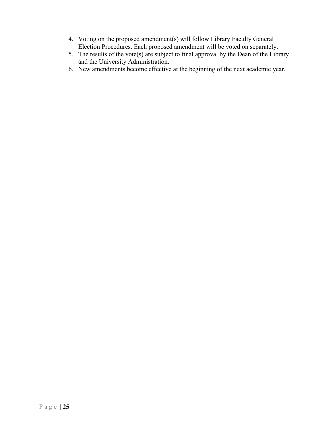- 4. Voting on the proposed amendment(s) will follow Library Faculty General Election Procedures. Each proposed amendment will be voted on separately.
- 5. The results of the vote(s) are subject to final approval by the Dean of the Library and the University Administration.
- 6. New amendments become effective at the beginning of the next academic year.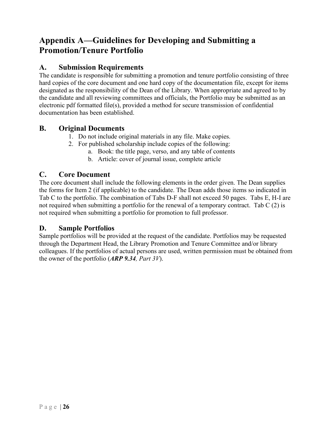## <span id="page-26-0"></span>**Appendix A—Guidelines for Developing and Submitting a Promotion/Tenure Portfolio**

#### <span id="page-26-1"></span>**A. Submission Requirements**

The candidate is responsible for submitting a promotion and tenure portfolio consisting of three hard copies of the core document and one hard copy of the documentation file, except for items designated as the responsibility of the Dean of the Library. When appropriate and agreed to by the candidate and all reviewing committees and officials, the Portfolio may be submitted as an electronic pdf formatted file(s), provided a method for secure transmission of confidential documentation has been established.

#### <span id="page-26-2"></span>**B. Original Documents**

- 1. Do not include original materials in any file. Make copies.
- 2. For published scholarship include copies of the following:
	- a. Book: the title page, verso, and any table of contents
	- b. Article: cover of journal issue, complete article

#### <span id="page-26-3"></span>**C. Core Document**

The core document shall include the following elements in the order given. The Dean supplies the forms for Item 2 (if applicable) to the candidate. The Dean adds those items so indicated in Tab C to the portfolio. The combination of Tabs D-F shall not exceed 50 pages. Tabs E, H-I are not required when submitting a portfolio for the renewal of a temporary contract. Tab C (2) is not required when submitting a portfolio for promotion to full professor.

#### **D. Sample Portfolios**

Sample portfolios will be provided at the request of the candidate. Portfolios may be requested through the Department Head, the Library Promotion and Tenure Committee and/or library colleagues. If the portfolios of actual persons are used, written permission must be obtained from the owner of the portfolio (*ARP 9.34, Part 3V*).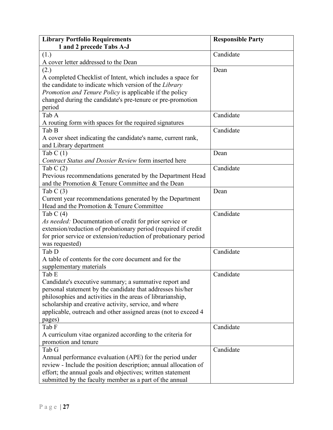| <b>Library Portfolio Requirements</b>                           | <b>Responsible Party</b> |
|-----------------------------------------------------------------|--------------------------|
| 1 and 2 precede Tabs A-J                                        |                          |
| (1.)                                                            | Candidate                |
| A cover letter addressed to the Dean                            |                          |
| (2.)                                                            | Dean                     |
| A completed Checklist of Intent, which includes a space for     |                          |
| the candidate to indicate which version of the Library          |                          |
| Promotion and Tenure Policy is applicable if the policy         |                          |
| changed during the candidate's pre-tenure or pre-promotion      |                          |
| period                                                          |                          |
| Tab A                                                           | Candidate                |
| A routing form with spaces for the required signatures          |                          |
| Tab B                                                           | Candidate                |
| A cover sheet indicating the candidate's name, current rank,    |                          |
| and Library department                                          |                          |
| Tab $C(1)$                                                      | Dean                     |
| Contract Status and Dossier Review form inserted here           |                          |
| Tab $C(2)$                                                      | Candidate                |
| Previous recommendations generated by the Department Head       |                          |
| and the Promotion & Tenure Committee and the Dean               |                          |
| Tab $C(3)$                                                      | Dean                     |
| Current year recommendations generated by the Department        |                          |
| Head and the Promotion & Tenure Committee                       |                          |
| Tab C $(4)$                                                     | Candidate                |
| As needed: Documentation of credit for prior service or         |                          |
| extension/reduction of probationary period (required if credit  |                          |
| for prior service or extension/reduction of probationary period |                          |
| was requested)                                                  |                          |
| Tab D                                                           | Candidate                |
| A table of contents for the core document and for the           |                          |
| supplementary materials                                         |                          |
| Tab E                                                           | Candidate                |
| Candidate's executive summary; a summative report and           |                          |
| personal statement by the candidate that addresses his/her      |                          |
| philosophies and activities in the areas of librarianship,      |                          |
| scholarship and creative activity, service, and where           |                          |
| applicable, outreach and other assigned areas (not to exceed 4  |                          |
| pages)                                                          |                          |
| Tab F                                                           | Candidate                |
| A curriculum vitae organized according to the criteria for      |                          |
| promotion and tenure                                            |                          |
| Tab G                                                           | Candidate                |
| Annual performance evaluation (APE) for the period under        |                          |
| review - Include the position description; annual allocation of |                          |
| effort; the annual goals and objectives; written statement      |                          |
| submitted by the faculty member as a part of the annual         |                          |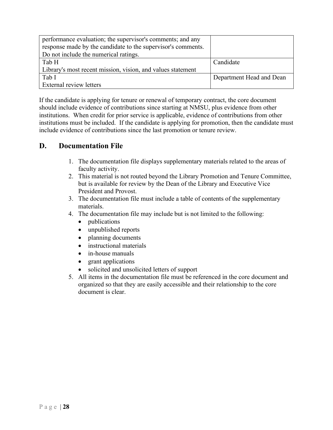| performance evaluation; the supervisor's comments; and any   |                          |
|--------------------------------------------------------------|--------------------------|
| response made by the candidate to the supervisor's comments. |                          |
| Do not include the numerical ratings.                        |                          |
| Tab H                                                        | Candidate                |
| Library's most recent mission, vision, and values statement  |                          |
| Tab I                                                        | Department Head and Dean |
| <b>External review letters</b>                               |                          |

If the candidate is applying for tenure or renewal of temporary contract, the core document should include evidence of contributions since starting at NMSU, plus evidence from other institutions. When credit for prior service is applicable, evidence of contributions from other institutions must be included. If the candidate is applying for promotion, then the candidate must include evidence of contributions since the last promotion or tenure review.

#### <span id="page-28-0"></span>**D. Documentation File**

- 1. The documentation file displays supplementary materials related to the areas of faculty activity.
- 2. This material is not routed beyond the Library Promotion and Tenure Committee, but is available for review by the Dean of the Library and Executive Vice President and Provost.
- 3. The documentation file must include a table of contents of the supplementary materials.
- 4. The documentation file may include but is not limited to the following:
	- publications
	- unpublished reports
	- planning documents
	- instructional materials
	- in-house manuals
	- grant applications
	- solicited and unsolicited letters of support
- 5. All items in the documentation file must be referenced in the core document and organized so that they are easily accessible and their relationship to the core document is clear.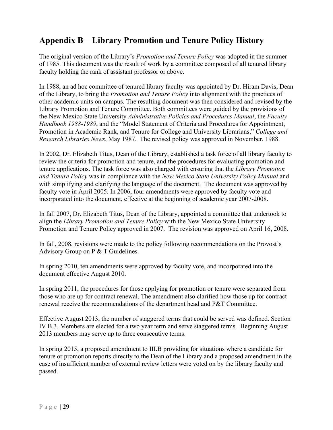## <span id="page-29-0"></span>**Appendix B—Library Promotion and Tenure Policy History**

The original version of the Library's *Promotion and Tenure Policy* was adopted in the summer of 1985. This document was the result of work by a committee composed of all tenured library faculty holding the rank of assistant professor or above.

In 1988, an ad hoc committee of tenured library faculty was appointed by Dr. Hiram Davis, Dean of the Library, to bring the *Promotion and Tenure Policy* into alignment with the practices of other academic units on campus. The resulting document was then considered and revised by the Library Promotion and Tenure Committee. Both committees were guided by the provisions of the New Mexico State University *Administrative Policies and Procedures Manual*, the *Faculty Handbook 1988-1989*, and the "Model Statement of Criteria and Procedures for Appointment, Promotion in Academic Rank, and Tenure for College and University Librarians," *College and Research Libraries News*, May 1987. The revised policy was approved in November, 1988.

In 2002, Dr. Elizabeth Titus, Dean of the Library, established a task force of all library faculty to review the criteria for promotion and tenure, and the procedures for evaluating promotion and tenure applications. The task force was also charged with ensuring that the *Library Promotion and Tenure Policy* was in compliance with the *New Mexico State University Policy Manual* and with simplifying and clarifying the language of the document. The document was approved by faculty vote in April 2005. In 2006, four amendments were approved by faculty vote and incorporated into the document, effective at the beginning of academic year 2007-2008.

In fall 2007, Dr. Elizabeth Titus, Dean of the Library, appointed a committee that undertook to align the *Library Promotion and Tenure Policy* with the New Mexico State University Promotion and Tenure Policy approved in 2007. The revision was approved on April 16, 2008.

In fall, 2008, revisions were made to the policy following recommendations on the Provost's Advisory Group on P & T Guidelines.

In spring 2010, ten amendments were approved by faculty vote, and incorporated into the document effective August 2010.

In spring 2011, the procedures for those applying for promotion or tenure were separated from those who are up for contract renewal. The amendment also clarified how those up for contract renewal receive the recommendations of the department head and P&T Committee.

Effective August 2013, the number of staggered terms that could be served was defined. Section IV B.3. Members are elected for a two year term and serve staggered terms. Beginning August 2013 members may serve up to three consecutive terms.

In spring 2015, a proposed amendment to III.B providing for situations where a candidate for tenure or promotion reports directly to the Dean of the Library and a proposed amendment in the case of insufficient number of external review letters were voted on by the library faculty and passed.